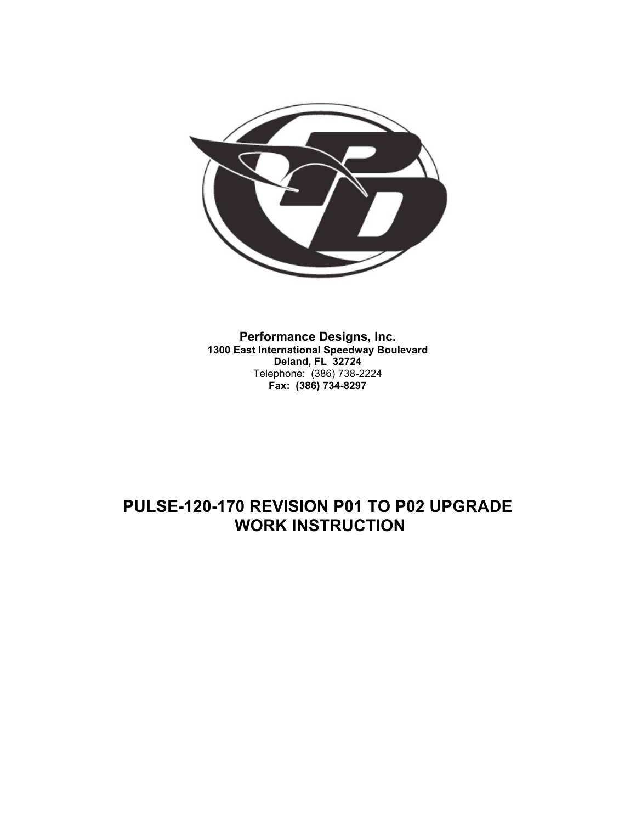

**Performance Designs, Inc. 1300 East International Speedway Boulevard Deland, FL 32724** Telephone: (386) 738-2224 **Fax: (386) 734-8297**

# **PULSE-120-170 REVISION P01 TO P02 UPGRADE WORK INSTRUCTION**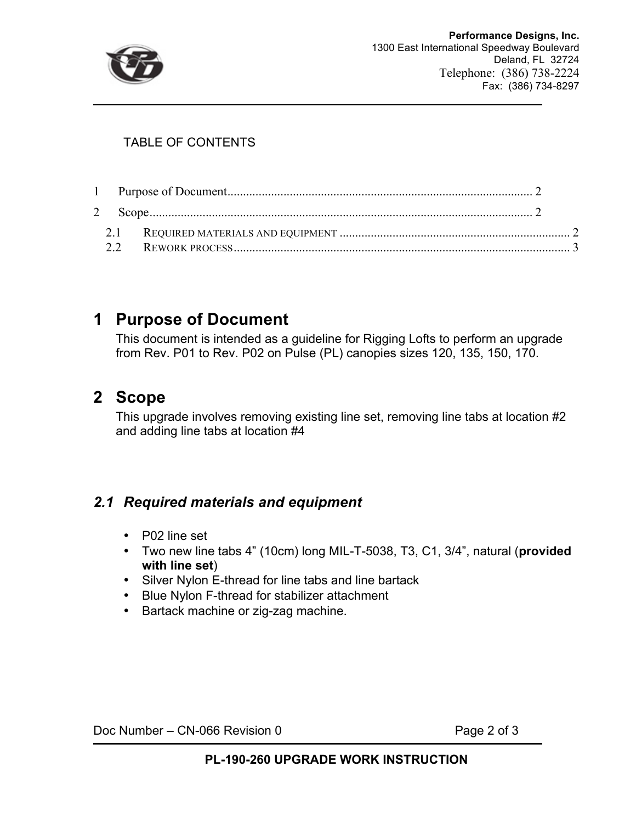

#### TABLE OF CONTENTS

# **1 Purpose of Document**

This document is intended as a guideline for Rigging Lofts to perform an upgrade from Rev. P01 to Rev. P02 on Pulse (PL) canopies sizes 120, 135, 150, 170.

# **2 Scope**

This upgrade involves removing existing line set, removing line tabs at location #2 and adding line tabs at location #4

#### *2.1 Required materials and equipment*

- P02 line set
- Two new line tabs 4" (10cm) long MIL-T-5038, T3, C1, 3/4", natural (**provided with line set**)
- Silver Nylon E-thread for line tabs and line bartack
- Blue Nylon F-thread for stabilizer attachment
- Bartack machine or zig-zag machine.

Doc Number – CN-066 Revision 0 Page 2 of 3